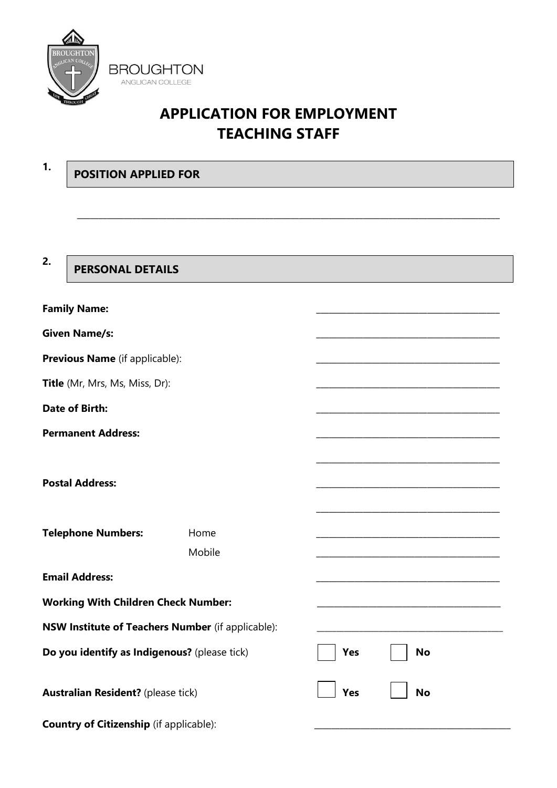

**POSITION APPLIED FOR**

**1.**

# **APPLICATION FOR EMPLOYMENT TEACHING STAFF**

| 2.                                                | <b>PERSONAL DETAILS</b>                        |        |                  |  |
|---------------------------------------------------|------------------------------------------------|--------|------------------|--|
|                                                   | <b>Family Name:</b>                            |        |                  |  |
|                                                   | <b>Given Name/s:</b>                           |        |                  |  |
|                                                   | Previous Name (if applicable):                 |        |                  |  |
|                                                   | Title (Mr, Mrs, Ms, Miss, Dr):                 |        |                  |  |
|                                                   | <b>Date of Birth:</b>                          |        |                  |  |
|                                                   | <b>Permanent Address:</b>                      |        |                  |  |
|                                                   |                                                |        |                  |  |
|                                                   | <b>Postal Address:</b>                         |        |                  |  |
|                                                   |                                                |        |                  |  |
|                                                   | <b>Telephone Numbers:</b>                      | Home   |                  |  |
|                                                   |                                                | Mobile |                  |  |
|                                                   | <b>Email Address:</b>                          |        |                  |  |
|                                                   | <b>Working With Children Check Number:</b>     |        |                  |  |
| NSW Institute of Teachers Number (if applicable): |                                                |        |                  |  |
|                                                   | Do you identify as Indigenous? (please tick)   |        | Yes<br><b>No</b> |  |
|                                                   | <b>Australian Resident?</b> (please tick)      |        | Yes<br><b>No</b> |  |
|                                                   | <b>Country of Citizenship</b> (if applicable): |        |                  |  |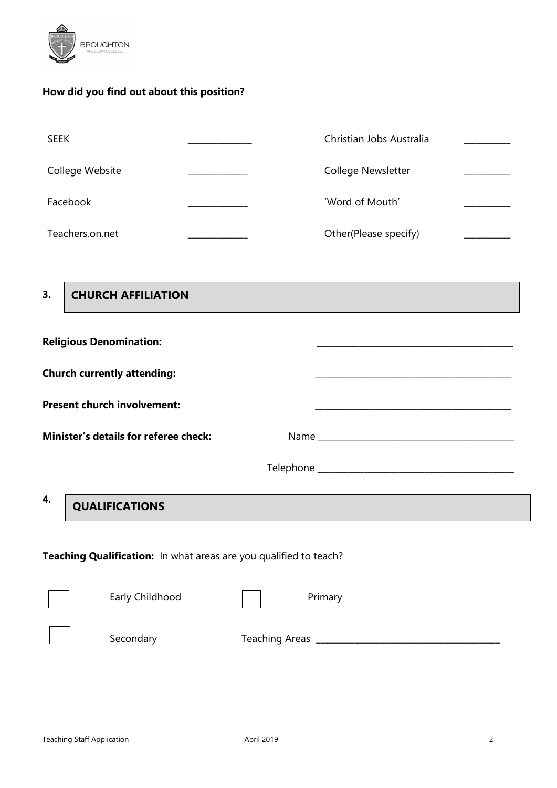

### **How did you find out about this position?**

| <b>SEEK</b>     | Christian Jobs Australia  |  |
|-----------------|---------------------------|--|
| College Website | <b>College Newsletter</b> |  |
| Facebook        | 'Word of Mouth'           |  |
| Teachers.on.net | Other(Please specify)     |  |

**3.**

## **CHURCH AFFILIATION**

| <b>Religious Denomination:</b>               |  |
|----------------------------------------------|--|
| <b>Church currently attending:</b>           |  |
| <b>Present church involvement:</b>           |  |
| <b>Minister's details for referee check:</b> |  |
|                                              |  |
| 4.                                           |  |

## **QUALIFICATIONS**

**Teaching Qualification:** In what areas are you qualified to teach?

| Early Childhood | Primary               |
|-----------------|-----------------------|
| Secondary       | <b>Teaching Areas</b> |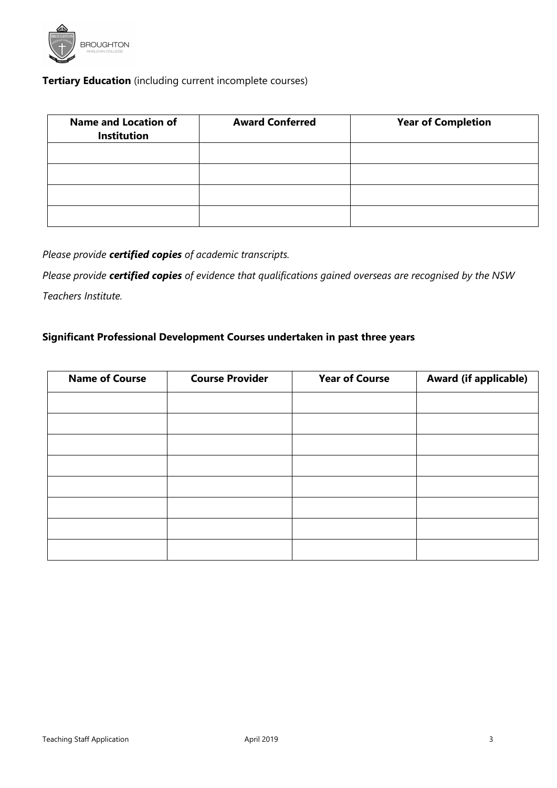

### **Tertiary Education** (including current incomplete courses)

| <b>Name and Location of</b><br><b>Institution</b> | <b>Award Conferred</b> | <b>Year of Completion</b> |
|---------------------------------------------------|------------------------|---------------------------|
|                                                   |                        |                           |
|                                                   |                        |                           |
|                                                   |                        |                           |
|                                                   |                        |                           |

*Please provide certified copies of academic transcripts.* 

*Please provide certified copies of evidence that qualifications gained overseas are recognised by the NSW Teachers Institute.*

#### **Significant Professional Development Courses undertaken in past three years**

| <b>Name of Course</b> | <b>Course Provider</b> | <b>Year of Course</b> | <b>Award (if applicable)</b> |
|-----------------------|------------------------|-----------------------|------------------------------|
|                       |                        |                       |                              |
|                       |                        |                       |                              |
|                       |                        |                       |                              |
|                       |                        |                       |                              |
|                       |                        |                       |                              |
|                       |                        |                       |                              |
|                       |                        |                       |                              |
|                       |                        |                       |                              |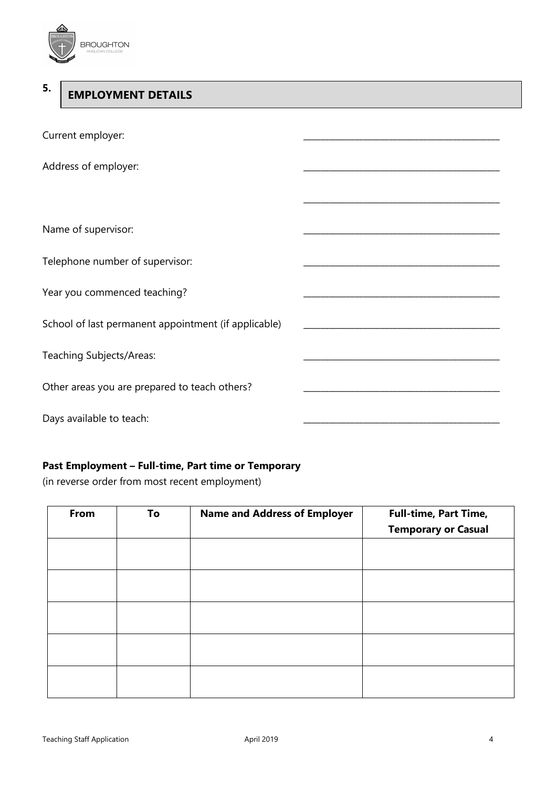

#### **5. EMPLOYMENT DETAILS**

| Current employer:                                    |  |
|------------------------------------------------------|--|
| Address of employer:                                 |  |
|                                                      |  |
| Name of supervisor:                                  |  |
| Telephone number of supervisor:                      |  |
| Year you commenced teaching?                         |  |
| School of last permanent appointment (if applicable) |  |
| Teaching Subjects/Areas:                             |  |
| Other areas you are prepared to teach others?        |  |
| Days available to teach:                             |  |

#### **Past Employment – Full-time, Part time or Temporary**

(in reverse order from most recent employment)

| From | To | <b>Name and Address of Employer</b> | Full-time, Part Time,<br><b>Temporary or Casual</b> |
|------|----|-------------------------------------|-----------------------------------------------------|
|      |    |                                     |                                                     |
|      |    |                                     |                                                     |
|      |    |                                     |                                                     |
|      |    |                                     |                                                     |
|      |    |                                     |                                                     |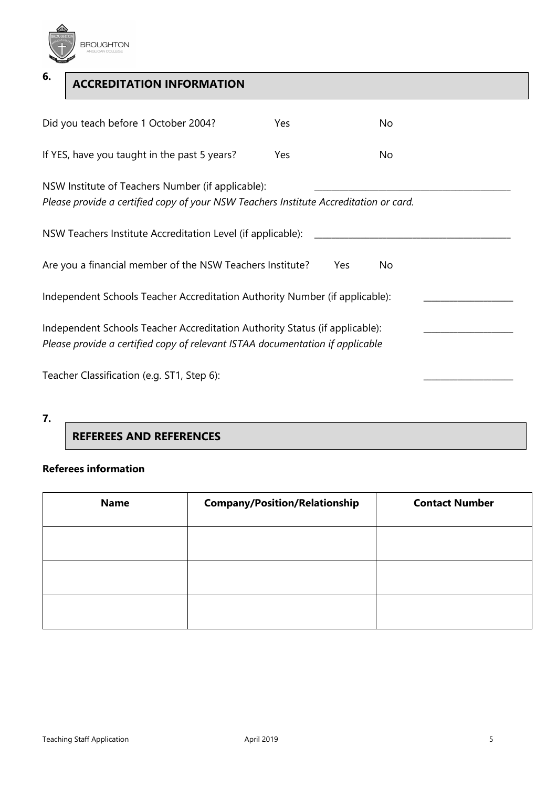

**6.**  Did you teach before 1 October 2004? The Yes No If YES, have you taught in the past 5 years? Yes No NSW Institute of Teachers Number (if applicable): *Please provide a certified copy of your NSW Teachers Institute Accreditation or card.*  NSW Teachers Institute Accreditation Level (if applicable): Are you a financial member of the NSW Teachers Institute? Yes No Independent Schools Teacher Accreditation Authority Number (if applicable): Independent Schools Teacher Accreditation Authority Status (if applicable): *Please provide a certified copy of relevant ISTAA documentation if applicable* **ACCREDITATION INFORMATION**

Teacher Classification (e.g. ST1, Step 6):

## **REFEREES AND REFERENCES**

#### **Referees information**

| <b>Name</b> | <b>Company/Position/Relationship</b> | <b>Contact Number</b> |
|-------------|--------------------------------------|-----------------------|
|             |                                      |                       |
|             |                                      |                       |
|             |                                      |                       |

**<sup>7.</sup>**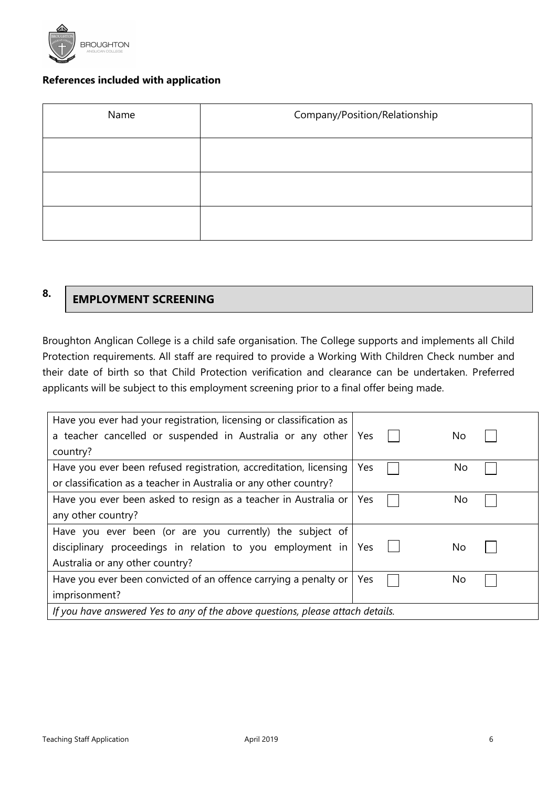

#### **References included with application**

| Name | Company/Position/Relationship |  |
|------|-------------------------------|--|
|      |                               |  |
|      |                               |  |
|      |                               |  |

**8.**

## **EMPLOYMENT SCREENING**

Broughton Anglican College is a child safe organisation. The College supports and implements all Child Protection requirements. All staff are required to provide a Working With Children Check number and their date of birth so that Child Protection verification and clearance can be undertaken. Preferred applicants will be subject to this employment screening prior to a final offer being made.

| Have you ever had your registration, licensing or classification as            |     |    |
|--------------------------------------------------------------------------------|-----|----|
| a teacher cancelled or suspended in Australia or any other                     | Yes | No |
| country?                                                                       |     |    |
| Have you ever been refused registration, accreditation, licensing              | Yes | No |
| or classification as a teacher in Australia or any other country?              |     |    |
| Have you ever been asked to resign as a teacher in Australia or                | Yes | No |
| any other country?                                                             |     |    |
| Have you ever been (or are you currently) the subject of                       |     |    |
| disciplinary proceedings in relation to you employment in                      | Yes | No |
| Australia or any other country?                                                |     |    |
| Have you ever been convicted of an offence carrying a penalty or               | Yes | No |
| imprisonment?                                                                  |     |    |
| If you have answered Yes to any of the above questions, please attach details. |     |    |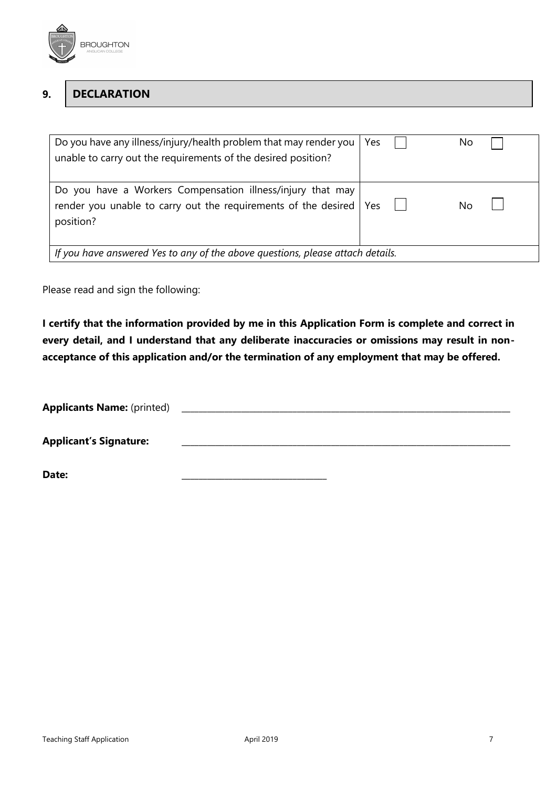

#### **9. DECLARATION**

| Do you have any illness/injury/health problem that may render you<br>unable to carry out the requirements of the desired position?              | Yes | No. |  |
|-------------------------------------------------------------------------------------------------------------------------------------------------|-----|-----|--|
| Do you have a Workers Compensation illness/injury that may<br>render you unable to carry out the requirements of the desired   Yes<br>position? |     | No  |  |
| If you have answered Yes to any of the above questions, please attach details.                                                                  |     |     |  |

Please read and sign the following:

**I certify that the information provided by me in this Application Form is complete and correct in every detail, and I understand that any deliberate inaccuracies or omissions may result in nonacceptance of this application and/or the termination of any employment that may be offered.** 

| <b>Applicants Name: (printed)</b> |  |
|-----------------------------------|--|
| <b>Applicant's Signature:</b>     |  |

**Date:** \_\_\_\_\_\_\_\_\_\_\_\_\_\_\_\_\_\_\_\_\_\_\_\_\_\_\_\_\_\_\_\_\_\_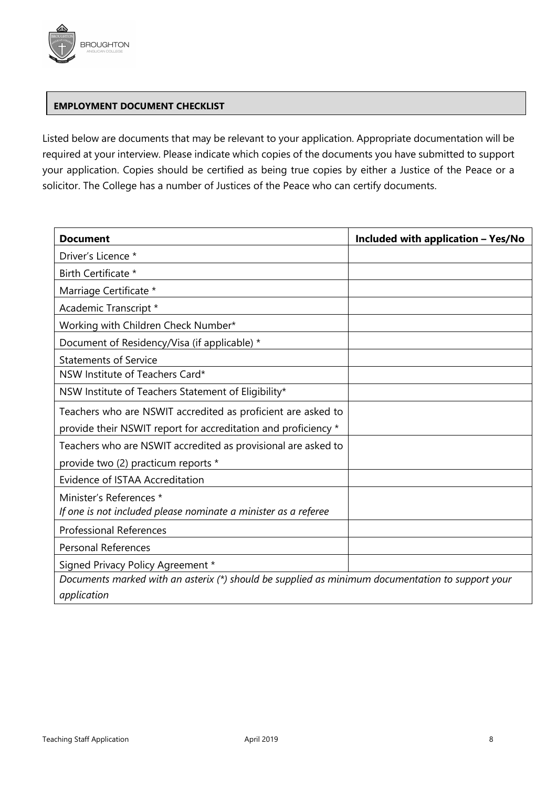

#### **EMPLOYMENT DOCUMENT CHECKLIST**

Listed below are documents that may be relevant to your application. Appropriate documentation will be required at your interview. Please indicate which copies of the documents you have submitted to support your application. Copies should be certified as being true copies by either a Justice of the Peace or a solicitor. The College has a number of Justices of the Peace who can certify documents.

| <b>Document</b>                                                                                  | Included with application - Yes/No |  |
|--------------------------------------------------------------------------------------------------|------------------------------------|--|
| Driver's Licence *                                                                               |                                    |  |
| Birth Certificate *                                                                              |                                    |  |
| Marriage Certificate *                                                                           |                                    |  |
| Academic Transcript *                                                                            |                                    |  |
| Working with Children Check Number*                                                              |                                    |  |
| Document of Residency/Visa (if applicable) *                                                     |                                    |  |
| <b>Statements of Service</b>                                                                     |                                    |  |
| NSW Institute of Teachers Card*                                                                  |                                    |  |
| NSW Institute of Teachers Statement of Eligibility*                                              |                                    |  |
| Teachers who are NSWIT accredited as proficient are asked to                                     |                                    |  |
| provide their NSWIT report for accreditation and proficiency *                                   |                                    |  |
| Teachers who are NSWIT accredited as provisional are asked to                                    |                                    |  |
| provide two (2) practicum reports *                                                              |                                    |  |
| Evidence of ISTAA Accreditation                                                                  |                                    |  |
| Minister's References *                                                                          |                                    |  |
| If one is not included please nominate a minister as a referee                                   |                                    |  |
| <b>Professional References</b>                                                                   |                                    |  |
| <b>Personal References</b>                                                                       |                                    |  |
| Signed Privacy Policy Agreement *                                                                |                                    |  |
| Documents marked with an asterix (*) should be supplied as minimum documentation to support your |                                    |  |
| application                                                                                      |                                    |  |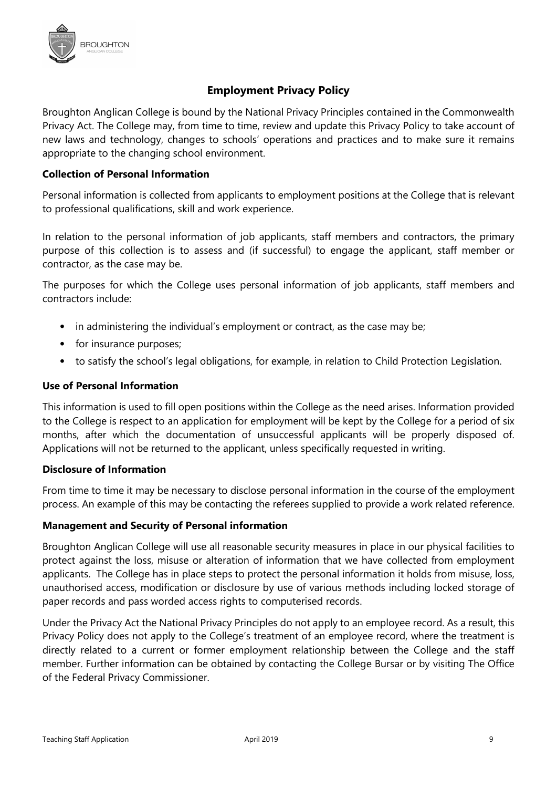

#### **Employment Privacy Policy**

Broughton Anglican College is bound by the National Privacy Principles contained in the Commonwealth Privacy Act. The College may, from time to time, review and update this Privacy Policy to take account of new laws and technology, changes to schools' operations and practices and to make sure it remains appropriate to the changing school environment.

#### **Collection of Personal Information**

Personal information is collected from applicants to employment positions at the College that is relevant to professional qualifications, skill and work experience.

In relation to the personal information of job applicants, staff members and contractors, the primary purpose of this collection is to assess and (if successful) to engage the applicant, staff member or contractor, as the case may be.

The purposes for which the College uses personal information of job applicants, staff members and contractors include:

- in administering the individual's employment or contract, as the case may be;
- for insurance purposes;
- to satisfy the school's legal obligations, for example, in relation to Child Protection Legislation.

#### **Use of Personal Information**

This information is used to fill open positions within the College as the need arises. Information provided to the College is respect to an application for employment will be kept by the College for a period of six months, after which the documentation of unsuccessful applicants will be properly disposed of. Applications will not be returned to the applicant, unless specifically requested in writing.

#### **Disclosure of Information**

From time to time it may be necessary to disclose personal information in the course of the employment process. An example of this may be contacting the referees supplied to provide a work related reference.

#### **Management and Security of Personal information**

Broughton Anglican College will use all reasonable security measures in place in our physical facilities to protect against the loss, misuse or alteration of information that we have collected from employment applicants. The College has in place steps to protect the personal information it holds from misuse, loss, unauthorised access, modification or disclosure by use of various methods including locked storage of paper records and pass worded access rights to computerised records.

Under the Privacy Act the National Privacy Principles do not apply to an employee record. As a result, this Privacy Policy does not apply to the College's treatment of an employee record, where the treatment is directly related to a current or former employment relationship between the College and the staff member. Further information can be obtained by contacting the College Bursar or by visiting The Office of the Federal Privacy Commissioner.